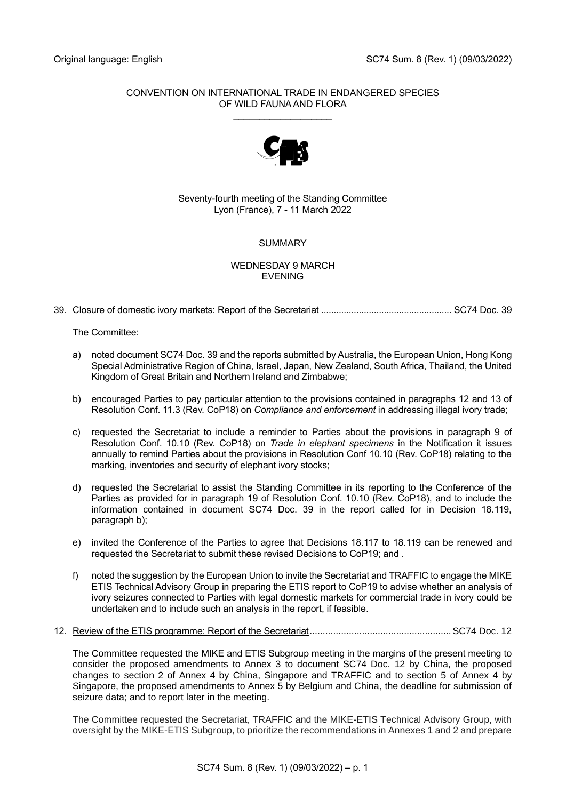## CONVENTION ON INTERNATIONAL TRADE IN ENDANGERED SPECIES OF WILD FAUNA AND FLORA

\_\_\_\_\_\_\_\_\_\_\_\_\_\_\_\_\_\_\_



## Seventy-fourth meeting of the Standing Committee Lyon (France), 7 - 11 March 2022

# **SUMMARY**

### WEDNESDAY 9 MARCH EVENING

## 39. Closure of domestic ivory markets: Report of the Secretariat .................................................... SC74 Doc. 39

The Committee:

- a) noted document SC74 Doc. 39 and the reports submitted by Australia, the European Union, Hong Kong Special Administrative Region of China, Israel, Japan, New Zealand, South Africa, Thailand, the United Kingdom of Great Britain and Northern Ireland and Zimbabwe;
- b) encouraged Parties to pay particular attention to the provisions contained in paragraphs 12 and 13 of Resolution Conf. 11.3 (Rev. CoP18) on *Compliance and enforcement* in addressing illegal ivory trade;
- c) requested the Secretariat to include a reminder to Parties about the provisions in paragraph 9 of Resolution Conf. 10.10 (Rev. CoP18) on *Trade in elephant specimens* in the Notification it issues annually to remind Parties about the provisions in Resolution Conf 10.10 (Rev. CoP18) relating to the marking, inventories and security of elephant ivory stocks;
- d) requested the Secretariat to assist the Standing Committee in its reporting to the Conference of the Parties as provided for in paragraph 19 of Resolution Conf. 10.10 (Rev. CoP18), and to include the information contained in document SC74 Doc. 39 in the report called for in Decision 18.119, paragraph b);
- e) invited the Conference of the Parties to agree that Decisions 18.117 to 18.119 can be renewed and requested the Secretariat to submit these revised Decisions to CoP19; and .
- f) noted the suggestion by the European Union to invite the Secretariat and TRAFFIC to engage the MIKE ETIS Technical Advisory Group in preparing the ETIS report to CoP19 to advise whether an analysis of ivory seizures connected to Parties with legal domestic markets for commercial trade in ivory could be undertaken and to include such an analysis in the report, if feasible.
- 12. Review of the ETIS programme: Report of the Secretariat......................................................SC74 Doc. 12

The Committee requested the MIKE and ETIS Subgroup meeting in the margins of the present meeting to consider the proposed amendments to Annex 3 to document SC74 Doc. 12 by China, the proposed changes to section 2 of Annex 4 by China, Singapore and TRAFFIC and to section 5 of Annex 4 by Singapore, the proposed amendments to Annex 5 by Belgium and China, the deadline for submission of seizure data; and to report later in the meeting.

The Committee requested the Secretariat, TRAFFIC and the MIKE-ETIS Technical Advisory Group, with oversight by the MIKE-ETIS Subgroup, to prioritize the recommendations in Annexes 1 and 2 and prepare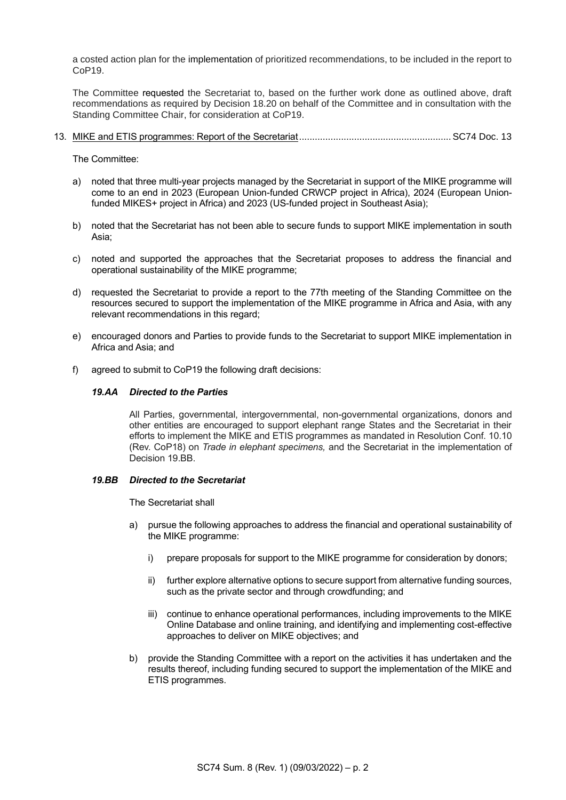a costed action plan for the implementation of prioritized recommendations, to be included in the report to CoP19.

The Committee requested the Secretariat to, based on the further work done as outlined above, draft recommendations as required by Decision 18.20 on behalf of the Committee and in consultation with the Standing Committee Chair, for consideration at CoP19.

13. MIKE and ETIS programmes: Report of the Secretariat..........................................................SC74 Doc. 13

The Committee:

- a) noted that three multi-year projects managed by the Secretariat in support of the MIKE programme will come to an end in 2023 (European Union-funded CRWCP project in Africa), 2024 (European Unionfunded MIKES+ project in Africa) and 2023 (US-funded project in Southeast Asia);
- b) noted that the Secretariat has not been able to secure funds to support MIKE implementation in south Asia;
- c) noted and supported the approaches that the Secretariat proposes to address the financial and operational sustainability of the MIKE programme;
- d) requested the Secretariat to provide a report to the 77th meeting of the Standing Committee on the resources secured to support the implementation of the MIKE programme in Africa and Asia, with any relevant recommendations in this regard;
- e) encouraged donors and Parties to provide funds to the Secretariat to support MIKE implementation in Africa and Asia; and
- f) agreed to submit to CoP19 the following draft decisions:

#### *19.AA Directed to the Parties*

All Parties, governmental, intergovernmental, non-governmental organizations, donors and other entities are encouraged to support elephant range States and the Secretariat in their efforts to implement the MIKE and ETIS programmes as mandated in Resolution Conf. 10.10 (Rev. CoP18) on *Trade in elephant specimens,* and the Secretariat in the implementation of Decision 19.BB.

#### *19.BB Directed to the Secretariat*

The Secretariat shall

- a) pursue the following approaches to address the financial and operational sustainability of the MIKE programme:
	- i) prepare proposals for support to the MIKE programme for consideration by donors;
	- ii) further explore alternative options to secure support from alternative funding sources, such as the private sector and through crowdfunding; and
	- iii) continue to enhance operational performances, including improvements to the MIKE Online Database and online training, and identifying and implementing cost-effective approaches to deliver on MIKE objectives; and
- b) provide the Standing Committee with a report on the activities it has undertaken and the results thereof, including funding secured to support the implementation of the MIKE and ETIS programmes.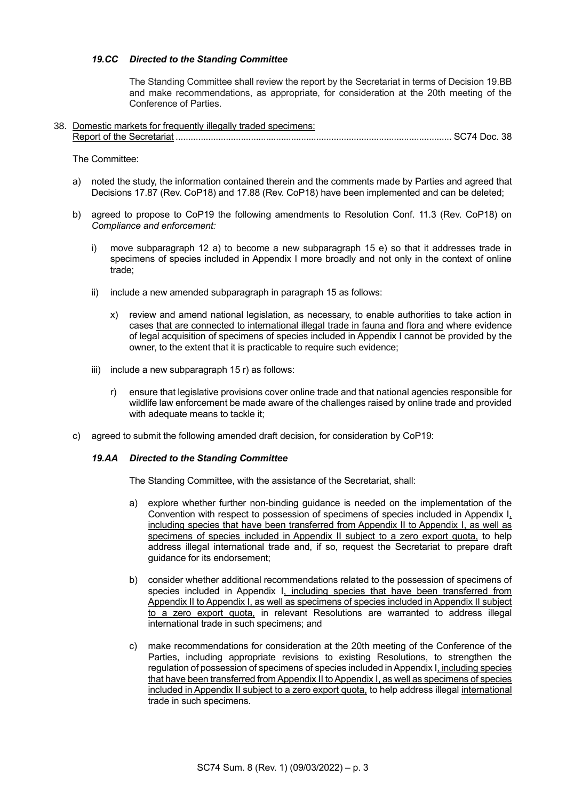### *19.CC Directed to the Standing Committee*

The Standing Committee shall review the report by the Secretariat in terms of Decision 19.BB and make recommendations, as appropriate, for consideration at the 20th meeting of the Conference of Parties.

38. Domestic markets for frequently illegally traded specimens: Report of the Secretariat .............................................................................................................. SC74 Doc. 38

The Committee:

- a) noted the study, the information contained therein and the comments made by Parties and agreed that Decisions 17.87 (Rev. CoP18) and 17.88 (Rev. CoP18) have been implemented and can be deleted;
- b) agreed to propose to CoP19 the following amendments to Resolution Conf. 11.3 (Rev. CoP18) on *Compliance and enforcement:* 
	- i) move subparagraph 12 a) to become a new subparagraph 15 e) so that it addresses trade in specimens of species included in Appendix I more broadly and not only in the context of online trade;
	- ii) include a new amended subparagraph in paragraph 15 as follows:
		- x) review and amend national legislation, as necessary, to enable authorities to take action in cases that are connected to international illegal trade in fauna and flora and where evidence of legal acquisition of specimens of species included in Appendix I cannot be provided by the owner, to the extent that it is practicable to require such evidence;
	- iii) include a new subparagraph 15 r) as follows:
		- r) ensure that legislative provisions cover online trade and that national agencies responsible for wildlife law enforcement be made aware of the challenges raised by online trade and provided with adequate means to tackle it;
- c) agreed to submit the following amended draft decision, for consideration by CoP19:

#### *19.AA Directed to the Standing Committee*

The Standing Committee, with the assistance of the Secretariat, shall:

- a) explore whether further non-binding guidance is needed on the implementation of the Convention with respect to possession of specimens of species included in Appendix I, including species that have been transferred from Appendix II to Appendix I, as well as specimens of species included in Appendix II subject to a zero export quota, to help address illegal international trade and, if so, request the Secretariat to prepare draft guidance for its endorsement;
- b) consider whether additional recommendations related to the possession of specimens of species included in Appendix I, including species that have been transferred from Appendix II to Appendix I, as well as specimens of species included in Appendix II subject to a zero export quota, in relevant Resolutions are warranted to address illegal international trade in such specimens; and
- c) make recommendations for consideration at the 20th meeting of the Conference of the Parties, including appropriate revisions to existing Resolutions, to strengthen the regulation of possession of specimens of species included in Appendix I, including species that have been transferred from Appendix II to Appendix I, as well as specimens of species included in Appendix II subject to a zero export quota, to help address illegal international trade in such specimens.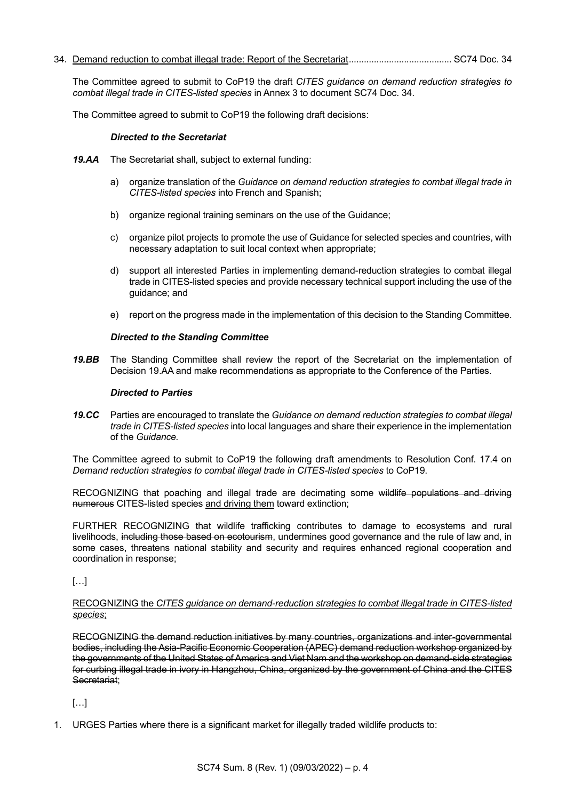34. Demand reduction to combat illegal trade: Report of the Secretariat......................................... SC74 Doc. 34

The Committee agreed to submit to CoP19 the draft *CITES guidance on demand reduction strategies to combat illegal trade in CITES-listed species* in Annex 3 to document SC74 Doc. 34.

The Committee agreed to submit to CoP19 the following draft decisions:

#### *Directed to the Secretariat*

- *19.AA* The Secretariat shall, subject to external funding:
	- a) organize translation of the *Guidance on demand reduction strategies to combat illegal trade in CITES-listed species* into French and Spanish;
	- b) organize regional training seminars on the use of the Guidance;
	- c) organize pilot projects to promote the use of Guidance for selected species and countries, with necessary adaptation to suit local context when appropriate;
	- d) support all interested Parties in implementing demand-reduction strategies to combat illegal trade in CITES-listed species and provide necessary technical support including the use of the guidance; and
	- e) report on the progress made in the implementation of this decision to the Standing Committee.

### *Directed to the Standing Committee*

*19.BB* The Standing Committee shall review the report of the Secretariat on the implementation of Decision 19.AA and make recommendations as appropriate to the Conference of the Parties.

### *Directed to Parties*

*19.CC* Parties are encouraged to translate the *Guidance on demand reduction strategies to combat illegal trade in CITES-listed species* into local languages and share their experience in the implementation of the *Guidance.*

The Committee agreed to submit to CoP19 the following draft amendments to Resolution Conf. 17.4 on *Demand reduction strategies to combat illegal trade in CITES-listed species* to CoP19.

RECOGNIZING that poaching and illegal trade are decimating some wildlife populations and driving numerous CITES-listed species and driving them toward extinction;

FURTHER RECOGNIZING that wildlife trafficking contributes to damage to ecosystems and rural livelihoods, including those based on ecotourism, undermines good governance and the rule of law and, in some cases, threatens national stability and security and requires enhanced regional cooperation and coordination in response;

 $\left[\ldots\right]$ 

#### RECOGNIZING the *CITES guidance on demand-reduction strategies to combat illegal trade in CITES-listed species*;

RECOGNIZING the demand reduction initiatives by many countries, organizations and inter-governmental bodies, including the Asia-Pacific Economic Cooperation (APEC) demand reduction workshop organized by the governments of the United States of America and Viet Nam and the workshop on demand-side strategies for curbing illegal trade in ivory in Hangzhou, China, organized by the government of China and the CITES Secretariat;

[…]

1. URGES Parties where there is a significant market for illegally traded wildlife products to: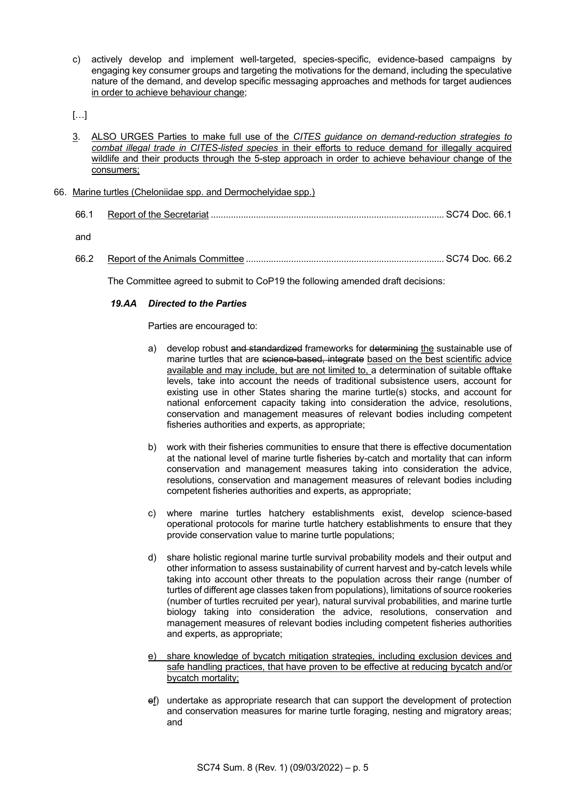c) actively develop and implement well-targeted, species-specific, evidence-based campaigns by engaging key consumer groups and targeting the motivations for the demand, including the speculative nature of the demand, and develop specific messaging approaches and methods for target audiences in order to achieve behaviour change;

[…]

3. ALSO URGES Parties to make full use of the *CITES guidance on demand-reduction strategies to combat illegal trade in CITES-listed species* in their efforts to reduce demand for illegally acquired wildlife and their products through the 5-step approach in order to achieve behaviour change of the consumers;

### 66. Marine turtles (Cheloniidae spp. and Dermochelyidae spp.)

| 66.1 |  |
|------|--|
| and  |  |

66.2 Report of the Animals Committee ............................................................................... SC74 Doc. 66.2

The Committee agreed to submit to CoP19 the following amended draft decisions:

### *19.AA Directed to the Parties*

#### Parties are encouraged to:

- a) develop robust and standardized frameworks for determining the sustainable use of marine turtles that are science-based, integrate based on the best scientific advice available and may include, but are not limited to, a determination of suitable offtake levels, take into account the needs of traditional subsistence users, account for existing use in other States sharing the marine turtle(s) stocks, and account for national enforcement capacity taking into consideration the advice, resolutions, conservation and management measures of relevant bodies including competent fisheries authorities and experts, as appropriate;
- b) work with their fisheries communities to ensure that there is effective documentation at the national level of marine turtle fisheries by-catch and mortality that can inform conservation and management measures taking into consideration the advice, resolutions, conservation and management measures of relevant bodies including competent fisheries authorities and experts, as appropriate;
- c) where marine turtles hatchery establishments exist, develop science-based operational protocols for marine turtle hatchery establishments to ensure that they provide conservation value to marine turtle populations;
- d) share holistic regional marine turtle survival probability models and their output and other information to assess sustainability of current harvest and by-catch levels while taking into account other threats to the population across their range (number of turtles of different age classes taken from populations), limitations of source rookeries (number of turtles recruited per year), natural survival probabilities, and marine turtle biology taking into consideration the advice, resolutions, conservation and management measures of relevant bodies including competent fisheries authorities and experts, as appropriate;
- e) share knowledge of bycatch mitigation strategies, including exclusion devices and safe handling practices, that have proven to be effective at reducing bycatch and/or bycatch mortality;
- ef) undertake as appropriate research that can support the development of protection and conservation measures for marine turtle foraging, nesting and migratory areas; and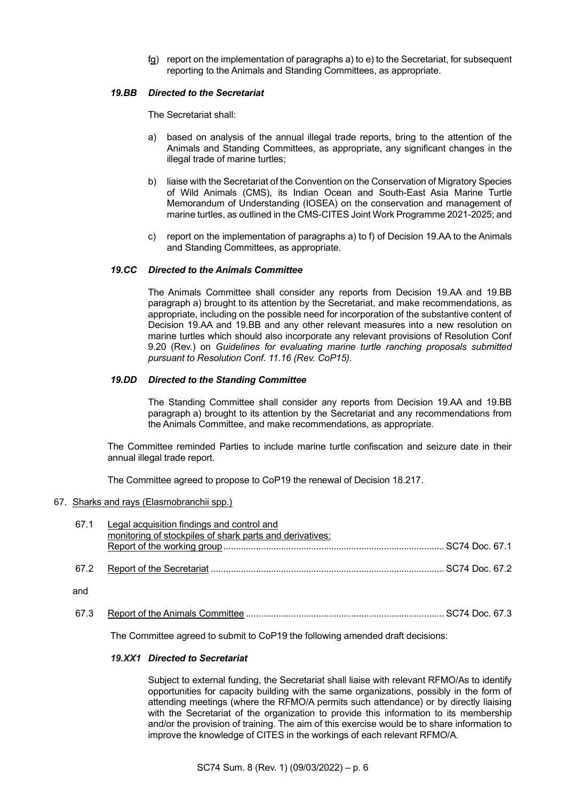fg) report on the implementation of paragraphs a) to e) to the Secretariat, for subsequent reporting to the Animals and Standing Committees, as appropriate.

### *19.BB Directed to the Secretariat*

The Secretariat shall:

- a) based on analysis of the annual illegal trade reports, bring to the attention of the Animals and Standing Committees, as appropriate, any significant changes in the illegal trade of marine turtles;
- b) liaise with the Secretariat of the Convention on the Conservation of Migratory Species of Wild Animals (CMS), its Indian Ocean and South-East Asia Marine Turtle Memorandum of Understanding (IOSEA) on the conservation and management of marine turtles, as outlined in the CMS-CITES Joint Work Programme 2021-2025; and
- c) report on the implementation of paragraphs a) to f) of Decision 19.AA to the Animals and Standing Committees, as appropriate.

### *19.CC Directed to the Animals Committee*

The Animals Committee shall consider any reports from Decision 19.AA and 19.BB paragraph a) brought to its attention by the Secretariat, and make recommendations, as appropriate, including on the possible need for incorporation of the substantive content of Decision 19.AA and 19.BB and any other relevant measures into a new resolution on marine turtles which should also incorporate any relevant provisions of Resolution Conf 9.20 (Rev.) on *Guidelines for evaluating marine turtle ranching proposals submitted pursuant to Resolution Conf. 11.16 (Rev. CoP15)*.

### *19.DD Directed to the Standing Committee*

The Standing Committee shall consider any reports from Decision 19.AA and 19.BB paragraph a) brought to its attention by the Secretariat and any recommendations from the Animals Committee, and make recommendations, as appropriate.

The Committee reminded Parties to include marine turtle confiscation and seizure date in their annual illegal trade report.

The Committee agreed to propose to CoP19 the renewal of Decision 18.217.

#### 67. Sharks and rays (Elasmobranchii spp.)

| 67.1 | Legal acquisition findings and control and<br>monitoring of stockpiles of shark parts and derivatives: |  |
|------|--------------------------------------------------------------------------------------------------------|--|
| 67.2 |                                                                                                        |  |
| and  |                                                                                                        |  |
| 67.3 |                                                                                                        |  |

The Committee agreed to submit to CoP19 the following amended draft decisions:

#### *19.XX1 Directed to Secretariat*

Subject to external funding, the Secretariat shall liaise with relevant RFMO/As to identify opportunities for capacity building with the same organizations, possibly in the form of attending meetings (where the RFMO/A permits such attendance) or by directly liaising with the Secretariat of the organization to provide this information to its membership and/or the provision of training. The aim of this exercise would be to share information to improve the knowledge of CITES in the workings of each relevant RFMO/A.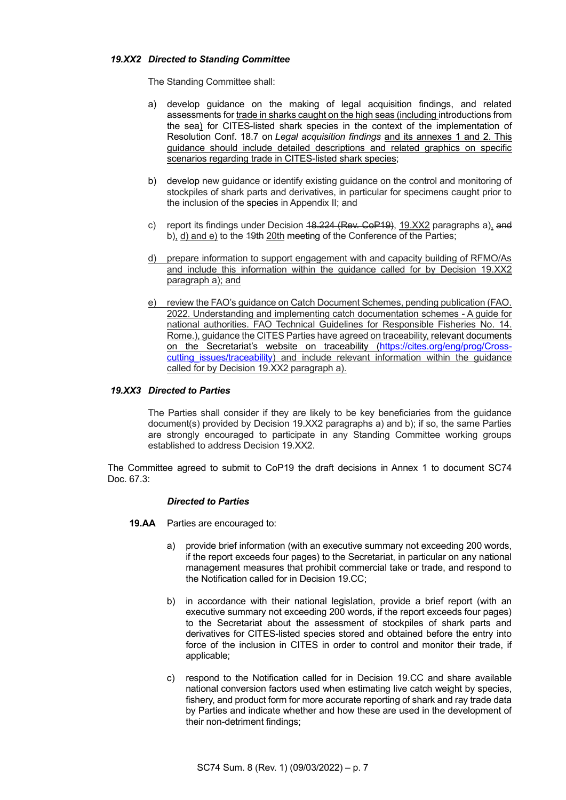#### *19.XX2 Directed to Standing Committee*

The Standing Committee shall:

- a) develop guidance on the making of legal acquisition findings, and related assessments for trade in sharks caught on the high seas (including introductions from the sea) for CITES-listed shark species in the context of the implementation of Resolution Conf. 18.7 on *Legal acquisition findings* and its annexes 1 and 2. This guidance should include detailed descriptions and related graphics on specific scenarios regarding trade in CITES-listed shark species;
- b) develop new guidance or identify existing guidance on the control and monitoring of stockpiles of shark parts and derivatives, in particular for specimens caught prior to the inclusion of the species in Appendix II; and
- c) report its findings under Decision 18.224 (Rev. CoP19), 19.XX2 paragraphs a), and b), d) and e) to the 19th 20th meeting of the Conference of the Parties;
- d) prepare information to support engagement with and capacity building of RFMO/As and include this information within the guidance called for by Decision 19.XX2 paragraph a); and
- e) review the FAO's guidance on Catch Document Schemes, pending publication (FAO. 2022. Understanding and implementing catch documentation schemes - A guide for national authorities. FAO Technical Guidelines for Responsible Fisheries No. 14. Rome.), guidance the CITES Parties have agreed on traceability, relevant documents on the Secretariat's website on traceability [\(https://cites.org/eng/prog/Cross](https://cites.org/eng/prog/Cross-cutting_issues/traceability)cutting issues/traceability) and include relevant information within the guidance called for by Decision 19.XX2 paragraph a).

#### *19.XX3 Directed to Parties*

The Parties shall consider if they are likely to be key beneficiaries from the guidance document(s) provided by Decision 19.XX2 paragraphs a) and b); if so, the same Parties are strongly encouraged to participate in any Standing Committee working groups established to address Decision 19.XX2.

The Committee agreed to submit to CoP19 the draft decisions in Annex 1 to document SC74 Doc. 67.3:

#### *Directed to Parties*

- **19.AA** Parties are encouraged to:
	- a) provide brief information (with an executive summary not exceeding 200 words, if the report exceeds four pages) to the Secretariat, in particular on any national management measures that prohibit commercial take or trade, and respond to the Notification called for in Decision 19.CC;
	- b) in accordance with their national legislation, provide a brief report (with an executive summary not exceeding 200 words, if the report exceeds four pages) to the Secretariat about the assessment of stockpiles of shark parts and derivatives for CITES-listed species stored and obtained before the entry into force of the inclusion in CITES in order to control and monitor their trade, if applicable;
	- c) respond to the Notification called for in Decision 19.CC and share available national conversion factors used when estimating live catch weight by species, fishery, and product form for more accurate reporting of shark and ray trade data by Parties and indicate whether and how these are used in the development of their non-detriment findings;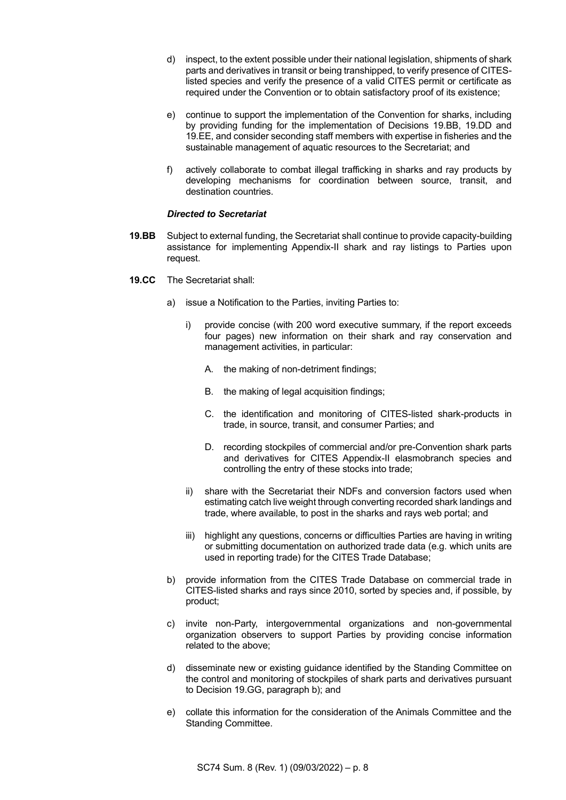- d) inspect, to the extent possible under their national legislation, shipments of shark parts and derivatives in transit or being transhipped, to verify presence of CITESlisted species and verify the presence of a valid CITES permit or certificate as required under the Convention or to obtain satisfactory proof of its existence;
- e) continue to support the implementation of the Convention for sharks, including by providing funding for the implementation of Decisions 19.BB, 19.DD and 19.EE, and consider seconding staff members with expertise in fisheries and the sustainable management of aquatic resources to the Secretariat; and
- f) actively collaborate to combat illegal trafficking in sharks and ray products by developing mechanisms for coordination between source, transit, and destination countries.

### *Directed to Secretariat*

- **19.BB** Subject to external funding, the Secretariat shall continue to provide capacity-building assistance for implementing Appendix-II shark and ray listings to Parties upon request.
- **19.CC** The Secretariat shall:
	- a) issue a Notification to the Parties, inviting Parties to:
		- i) provide concise (with 200 word executive summary, if the report exceeds four pages) new information on their shark and ray conservation and management activities, in particular:
			- A. the making of non-detriment findings;
			- B. the making of legal acquisition findings;
			- C. the identification and monitoring of CITES-listed shark-products in trade, in source, transit, and consumer Parties; and
			- D. recording stockpiles of commercial and/or pre-Convention shark parts and derivatives for CITES Appendix-II elasmobranch species and controlling the entry of these stocks into trade;
		- ii) share with the Secretariat their NDFs and conversion factors used when estimating catch live weight through converting recorded shark landings and trade, where available, to post in the sharks and rays web portal; and
		- iii) highlight any questions, concerns or difficulties Parties are having in writing or submitting documentation on authorized trade data (e.g. which units are used in reporting trade) for the CITES Trade Database;
	- b) provide information from the CITES Trade Database on commercial trade in CITES-listed sharks and rays since 2010, sorted by species and, if possible, by product;
	- c) invite non-Party, intergovernmental organizations and non-governmental organization observers to support Parties by providing concise information related to the above;
	- d) disseminate new or existing guidance identified by the Standing Committee on the control and monitoring of stockpiles of shark parts and derivatives pursuant to Decision 19.GG, paragraph b); and
	- e) collate this information for the consideration of the Animals Committee and the Standing Committee.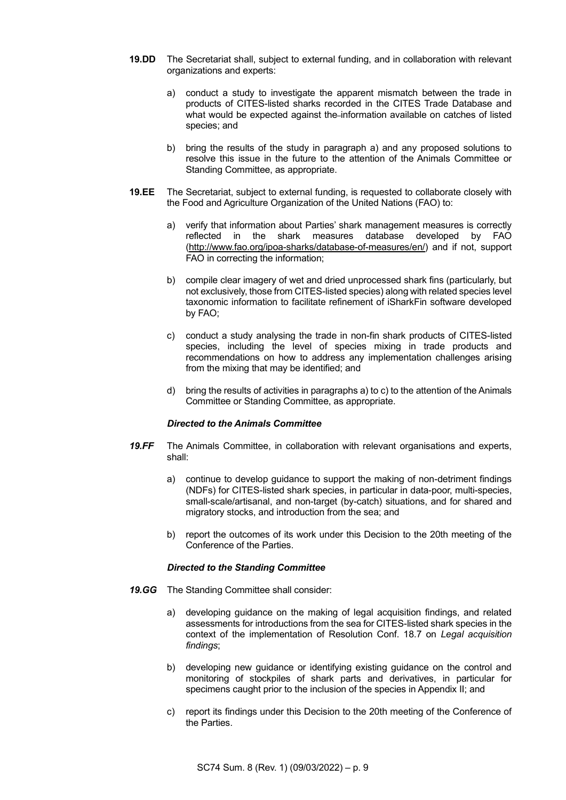- **19.DD** The Secretariat shall, subject to external funding, and in collaboration with relevant organizations and experts:
	- a) conduct a study to investigate the apparent mismatch between the trade in products of CITES-listed sharks recorded in the CITES Trade Database and what would be expected against the information available on catches of listed species; and
	- b) bring the results of the study in paragraph a) and any proposed solutions to resolve this issue in the future to the attention of the Animals Committee or Standing Committee, as appropriate.
- **19.EE** The Secretariat, subject to external funding, is requested to collaborate closely with the Food and Agriculture Organization of the United Nations (FAO) to:
	- a) verify that information about Parties' shark management measures is correctly reflected in the shark measures database developed by FAO [\(http://www.fao.org/ipoa-sharks/database-of-measures/en/\)](http://www.fao.org/ipoa-sharks/database-of-measures/en/) and if not, support FAO in correcting the information;
	- b) compile clear imagery of wet and dried unprocessed shark fins (particularly, but not exclusively, those from CITES-listed species) along with related species level taxonomic information to facilitate refinement of iSharkFin software developed by FAO;
	- c) conduct a study analysing the trade in non-fin shark products of CITES-listed species, including the level of species mixing in trade products and recommendations on how to address any implementation challenges arising from the mixing that may be identified; and
	- d) bring the results of activities in paragraphs a) to c) to the attention of the Animals Committee or Standing Committee, as appropriate.

#### *Directed to the Animals Committee*

- *19.FF* The Animals Committee, in collaboration with relevant organisations and experts, shall:
	- a) continue to develop guidance to support the making of non-detriment findings (NDFs) for CITES-listed shark species, in particular in data-poor, multi-species, small-scale/artisanal, and non-target (by-catch) situations, and for shared and migratory stocks, and introduction from the sea; and
	- b) report the outcomes of its work under this Decision to the 20th meeting of the Conference of the Parties.

#### *Directed to the Standing Committee*

- *19.GG* The Standing Committee shall consider:
	- a) developing guidance on the making of legal acquisition findings, and related assessments for introductions from the sea for CITES-listed shark species in the context of the implementation of Resolution Conf. 18.7 on *Legal acquisition findings*;
	- b) developing new guidance or identifying existing guidance on the control and monitoring of stockpiles of shark parts and derivatives, in particular for specimens caught prior to the inclusion of the species in Appendix II; and
	- c) report its findings under this Decision to the 20th meeting of the Conference of the Parties.